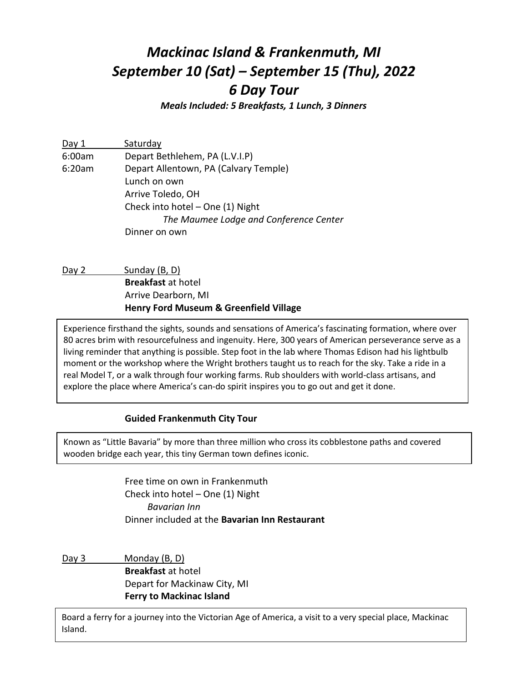# *Mackinac Island & Frankenmuth, MI September 10 (Sat) – September 15 (Thu), 2022 6 Day Tour*

*Meals Included: 5 Breakfasts, 1 Lunch, 3 Dinners*

| Day 1  | Saturday                               |
|--------|----------------------------------------|
| 6:00am | Depart Bethlehem, PA (L.V.I.P)         |
| 6:20am | Depart Allentown, PA (Calvary Temple)  |
|        | Lunch on own                           |
|        | Arrive Toledo, OH                      |
|        | Check into hotel - One (1) Night       |
|        | The Maumee Lodge and Conference Center |
|        | Dinner on own                          |

Day 2 Sunday (B, D) **Breakfast** at hotel Arrive Dearborn, MI **Henry Ford Museum & Greenfield Village**

Experience firsthand the sights, sounds and sensations of America's fascinating formation, where over 80 acres brim with resourcefulness and ingenuity. Here, 300 years of American perseverance serve as a living reminder that anything is possible. Step foot in the lab where Thomas Edison had his lightbulb moment or the workshop where the Wright brothers taught us to reach for the sky. Take a ride in a real Model T, or a walk through four working farms. Rub shoulders with world-class artisans, and explore the place where America's can-do spirit inspires you to go out and get it done.

### **Guided Frankenmuth City Tour**

Known as "Little Bavaria" by more than three million who cross its cobblestone paths and covered wooden bridge each year, this tiny German town defines iconic.

> Free time on own in Frankenmuth Check into hotel – One (1) Night *Bavarian Inn* Dinner included at the **Bavarian Inn Restaurant**

Day 3 Monday (B, D) **Breakfast** at hotel Depart for Mackinaw City, MI **Ferry to Mackinac Island**

Board a ferry for a journey into the Victorian Age of America, a visit to a very special place, Mackinac Island.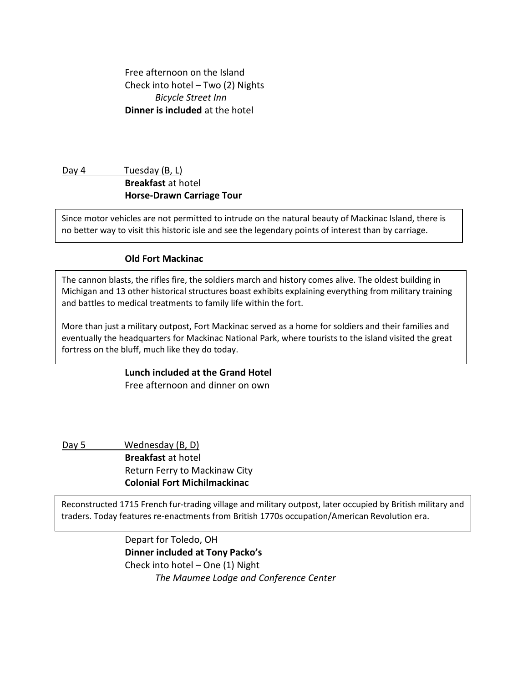Free afternoon on the Island Check into hotel – Two (2) Nights *Bicycle Street Inn* **Dinner is included** at the hotel

### Day 4 Tuesday (B, L) **Breakfast** at hotel **Horse-Drawn Carriage Tour**

Since motor vehicles are not permitted to intrude on the natural beauty of Mackinac Island, there is no better way to visit this historic isle and see the legendary points of interest than by carriage.

### **Old Fort Mackinac**

**Breakfast** at hotel

The cannon blasts, the rifles fire, the soldiers march and history comes alive. The oldest building in Michigan and 13 other historical structures boast exhibits explaining everything from military training and battles to medical treatments to family life within the fort.

fortress on the bluff, much like they do today. More than just a military outpost, Fort Mackinac served as a home for soldiers and their families and eventually the headquarters for Mackinac National Park, where tourists to the island visited the great

## **Lunch included at the Grand Hotel**

Free afternoon and dinner on own

Day 5 Wednesday (B, D) **Breakfast** at hotel Return Ferry to Mackinaw City **Colonial Fort Michilmackinac**

Reconstructed 1715 French fur-trading village and military outpost, later occupied by British military and traders. Today features re-enactments from British 1770s occupation/American Revolution era.

> Depart for Toledo, OH **Dinner included at Tony Packo's** Check into hotel – One (1) Night *The Maumee Lodge and Conference Center*